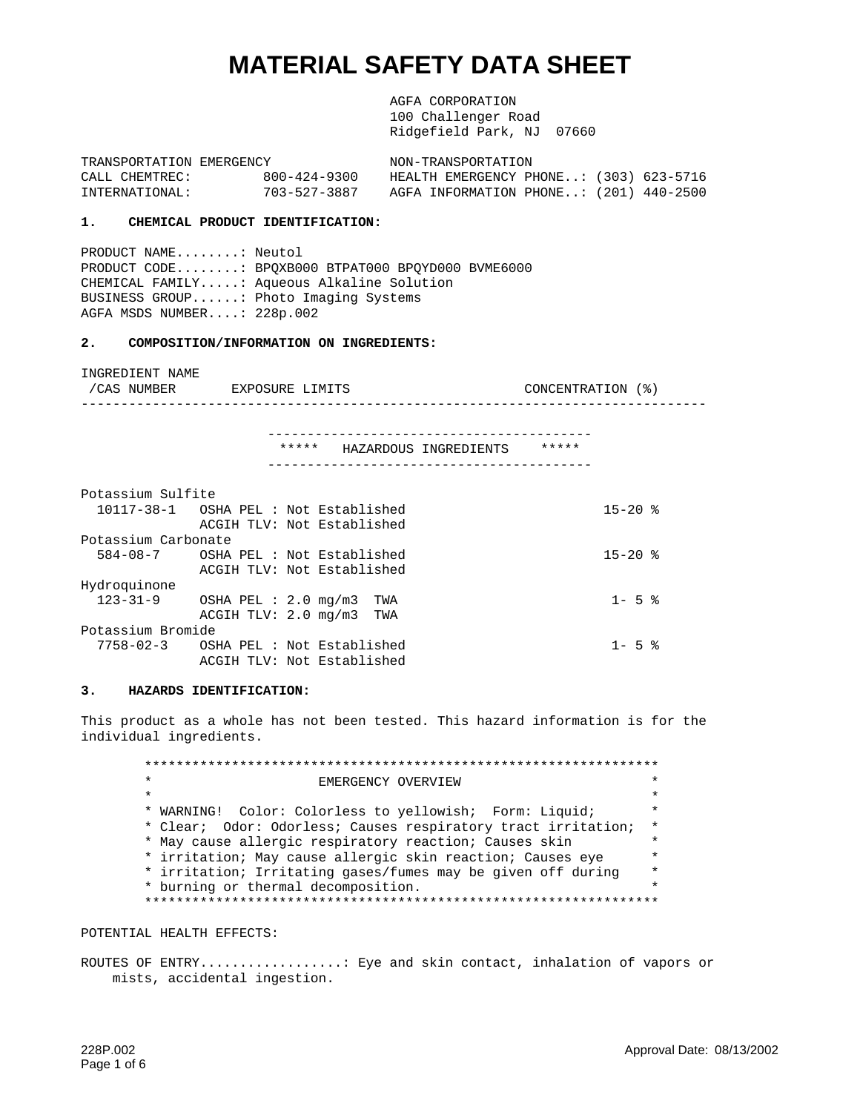# **MATERIAL SAFETY DATA SHEET**

AGFA CORPORATION 100 Challenger Road Ridgefield Park, NJ 07660

TRANSPORTATION EMERGENCY NON-TRANSPORTATION CALL CHEMTREC: 800-424-9300 HEALTH EMERGENCY PHONE..: (303) 623-5716 INTERNATIONAL: 703-527-3887 AGFA INFORMATION PHONE..: (201) 440-2500

# **1. CHEMICAL PRODUCT IDENTIFICATION:**

PRODUCT NAME........: Neutol PRODUCT CODE........: BPQXB000 BTPAT000 BPQYD000 BVME6000 CHEMICAL FAMILY.....: Aqueous Alkaline Solution BUSINESS GROUP......: Photo Imaging Systems AGFA MSDS NUMBER....: 228p.002

ACGIH TLV: Not Established

#### **2. COMPOSITION/INFORMATION ON INGREDIENTS:**

INGREDIENT NAME /CAS NUMBER EXPOSURE LIMITS CONCENTRATION (%) ------------------------------------------------------------------------------- ----------------------------------------- \*\*\*\*\* HAZARDOUS INGREDIENTS \*\*\*\*\* ----------------------------------------- Potassium Sulfite 10117-38-1 OSHA PEL : Not Established 15-20 % ACGIH TLV: Not Established Potassium Carbonate 584-08-7 OSHA PEL : Not Established 15-20 % ACGIH TLV: Not Established Hydroquinone 123-31-9 OSHA PEL : 2.0 mg/m3 TWA 1- 5 % ACGIH TLV: 2.0 mg/m3 TWA Potassium Bromide 7758-02-3 OSHA PEL : Not Established 1- 5 %

#### **3. HAZARDS IDENTIFICATION:**

This product as a whole has not been tested. This hazard information is for the individual ingredients.

\*\*\*\*\*\*\*\*\*\*\*\*\*\*\*\*\*\*\*\*\*\*\*\*\*\*\*\*\*\*\*\*\*\*\*\*\*\*\*\*\*\*\*\*\*\*\*\*\*\*\*\*\*\*\*\*\*\*\*\*\*\*\*\*\* EMERGENCY OVERVIEW  $\star$   $\star$ \* WARNING! Color: Colorless to yellowish; Form: Liquid; \* \* Clear; Odor: Odorless; Causes respiratory tract irritation; \* \* May cause allergic respiratory reaction; Causes skin \* \* irritation; May cause allergic skin reaction; Causes eye \* \* irritation; Irritating gases/fumes may be given off during \* \* burning or thermal decomposition. \* \*\*\*\*\*\*\*\*\*\*\*\*\*\*\*\*\*\*\*\*\*\*\*\*\*\*\*\*\*\*\*\*\*\*\*\*\*\*\*\*\*\*\*\*\*\*\*\*\*\*\*\*\*\*\*\*\*\*\*\*\*\*\*\*\*

POTENTIAL HEALTH EFFECTS:

ROUTES OF ENTRY.................: Eye and skin contact, inhalation of vapors or mists, accidental ingestion.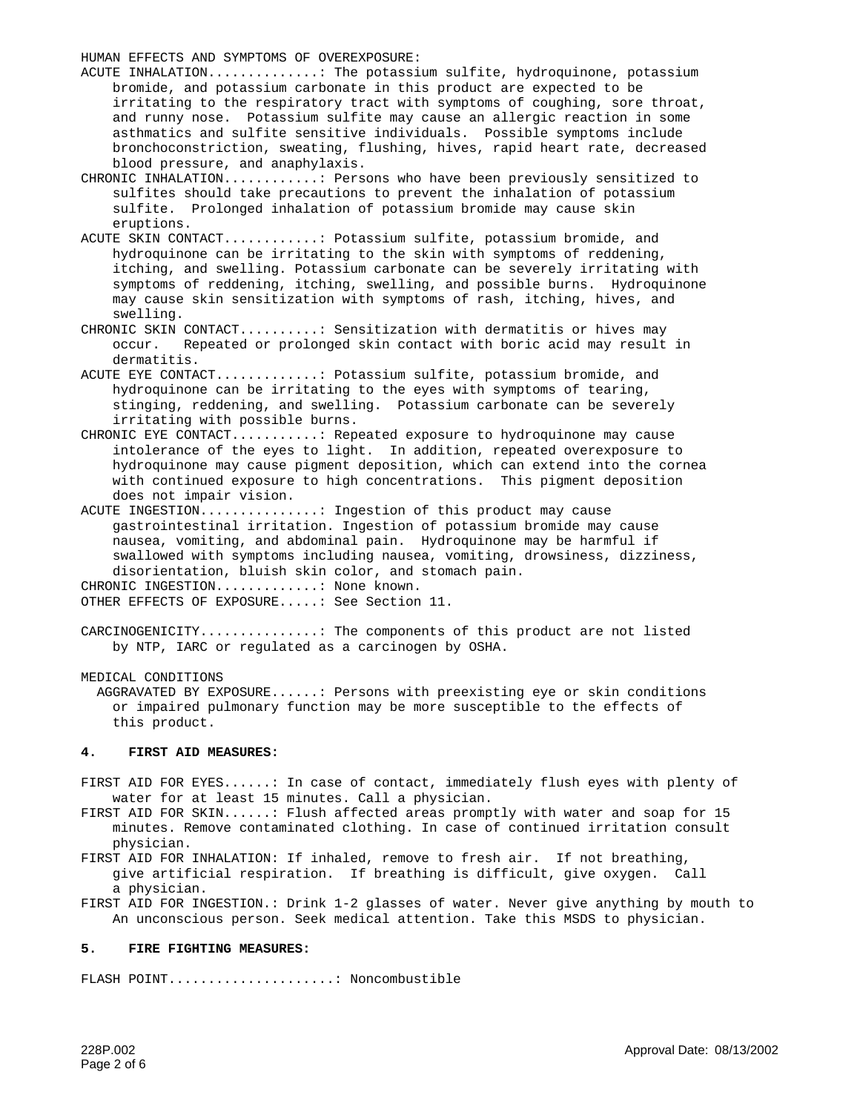HUMAN EFFECTS AND SYMPTOMS OF OVEREXPOSURE:

ACUTE INHALATION..............: The potassium sulfite, hydroquinone, potassium bromide, and potassium carbonate in this product are expected to be irritating to the respiratory tract with symptoms of coughing, sore throat, and runny nose. Potassium sulfite may cause an allergic reaction in some asthmatics and sulfite sensitive individuals. Possible symptoms include bronchoconstriction, sweating, flushing, hives, rapid heart rate, decreased blood pressure, and anaphylaxis.

CHRONIC INHALATION............: Persons who have been previously sensitized to sulfites should take precautions to prevent the inhalation of potassium sulfite. Prolonged inhalation of potassium bromide may cause skin eruptions.

ACUTE SKIN CONTACT............: Potassium sulfite, potassium bromide, and hydroquinone can be irritating to the skin with symptoms of reddening, itching, and swelling. Potassium carbonate can be severely irritating with symptoms of reddening, itching, swelling, and possible burns. Hydroquinone may cause skin sensitization with symptoms of rash, itching, hives, and swelling.

CHRONIC SKIN CONTACT..........: Sensitization with dermatitis or hives may occur. Repeated or prolonged skin contact with boric acid may result in dermatitis.

ACUTE EYE CONTACT.............: Potassium sulfite, potassium bromide, and hydroquinone can be irritating to the eyes with symptoms of tearing, stinging, reddening, and swelling. Potassium carbonate can be severely irritating with possible burns.

CHRONIC EYE CONTACT...........: Repeated exposure to hydroquinone may cause intolerance of the eyes to light. In addition, repeated overexposure to hydroquinone may cause pigment deposition, which can extend into the cornea with continued exposure to high concentrations. This pigment deposition does not impair vision.

ACUTE INGESTION...............: Ingestion of this product may cause gastrointestinal irritation. Ingestion of potassium bromide may cause nausea, vomiting, and abdominal pain. Hydroquinone may be harmful if swallowed with symptoms including nausea, vomiting, drowsiness, dizziness, disorientation, bluish skin color, and stomach pain. CHRONIC INGESTION............... None known. OTHER EFFECTS OF EXPOSURE.....: See Section 11.

CARCINOGENICITY...............: The components of this product are not listed by NTP, IARC or regulated as a carcinogen by OSHA.

MEDICAL CONDITIONS

AGGRAVATED BY EXPOSURE......: Persons with preexisting eye or skin conditions or impaired pulmonary function may be more susceptible to the effects of this product.

#### **4. FIRST AID MEASURES:**

FIRST AID FOR EYES......: In case of contact, immediately flush eyes with plenty of water for at least 15 minutes. Call a physician.

FIRST AID FOR SKIN......: Flush affected areas promptly with water and soap for 15 minutes. Remove contaminated clothing. In case of continued irritation consult physician.

FIRST AID FOR INHALATION: If inhaled, remove to fresh air. If not breathing, give artificial respiration. If breathing is difficult, give oxygen. Call a physician.

FIRST AID FOR INGESTION.: Drink 1-2 glasses of water. Never give anything by mouth to An unconscious person. Seek medical attention. Take this MSDS to physician.

#### **5. FIRE FIGHTING MEASURES:**

FLASH POINT.....................: Noncombustible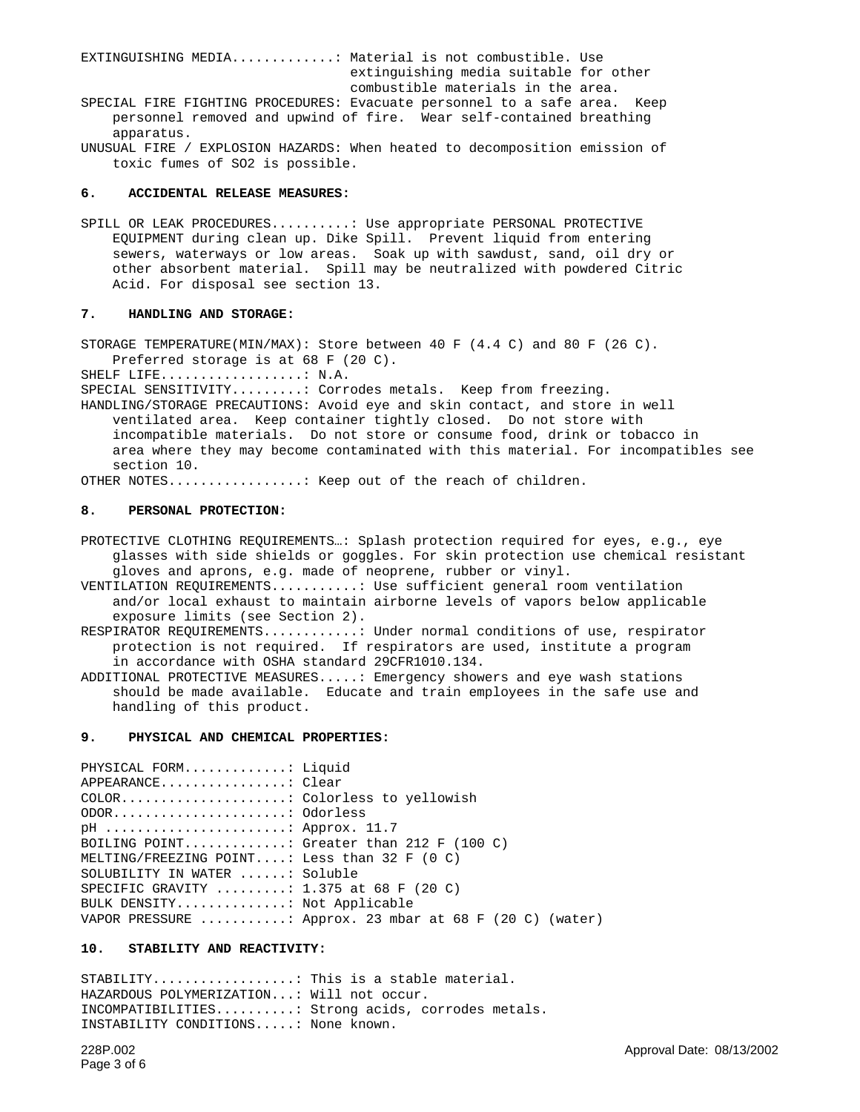EXTINGUISHING MEDIA.............: Material is not combustible. Use extinguishing media suitable for other combustible materials in the area. SPECIAL FIRE FIGHTING PROCEDURES: Evacuate personnel to a safe area. Keep personnel removed and upwind of fire. Wear self-contained breathing apparatus.

UNUSUAL FIRE / EXPLOSION HAZARDS: When heated to decomposition emission of toxic fumes of SO2 is possible.

## **6. ACCIDENTAL RELEASE MEASURES:**

SPILL OR LEAK PROCEDURES..........: Use appropriate PERSONAL PROTECTIVE EQUIPMENT during clean up. Dike Spill. Prevent liquid from entering sewers, waterways or low areas. Soak up with sawdust, sand, oil dry or other absorbent material. Spill may be neutralized with powdered Citric Acid. For disposal see section 13.

## **7. HANDLING AND STORAGE:**

STORAGE TEMPERATURE(MIN/MAX): Store between 40 F (4.4 C) and 80 F (26 C). Preferred storage is at 68 F (20 C).

SHELF LIFE..................: N.A.

SPECIAL SENSITIVITY.........: Corrodes metals. Keep from freezing.

HANDLING/STORAGE PRECAUTIONS: Avoid eye and skin contact, and store in well ventilated area. Keep container tightly closed. Do not store with incompatible materials. Do not store or consume food, drink or tobacco in area where they may become contaminated with this material. For incompatibles see section 10.

OTHER NOTES.................: Keep out of the reach of children.

## **8. PERSONAL PROTECTION:**

PROTECTIVE CLOTHING REQUIREMENTS…: Splash protection required for eyes, e.g., eye glasses with side shields or goggles. For skin protection use chemical resistant gloves and aprons, e.g. made of neoprene, rubber or vinyl.

VENTILATION REQUIREMENTS...........: Use sufficient general room ventilation and/or local exhaust to maintain airborne levels of vapors below applicable exposure limits (see Section 2).

RESPIRATOR REQUIREMENTS...........: Under normal conditions of use, respirator protection is not required. If respirators are used, institute a program in accordance with OSHA standard 29CFR1010.134.

ADDITIONAL PROTECTIVE MEASURES.....: Emergency showers and eye wash stations should be made available. Educate and train employees in the safe use and handling of this product.

## **9. PHYSICAL AND CHEMICAL PROPERTIES:**

PHYSICAL FORM.............: Liquid APPEARANCE................: Clear COLOR.....................: Colorless to yellowish ODOR......................: Odorless pH .......................: Approx. 11.7 BOILING POINT.............: Greater than 212 F (100 C) MELTING/FREEZING POINT....: Less than 32 F (0 C) SOLUBILITY IN WATER ......: Soluble SPECIFIC GRAVITY .........: 1.375 at 68 F (20 C) BULK DENSITY..............: Not Applicable VAPOR PRESSURE ...........: Approx. 23 mbar at 68 F (20 C) (water)

# **10. STABILITY AND REACTIVITY:**

STABILITY..................: This is a stable material. HAZARDOUS POLYMERIZATION...: Will not occur. INCOMPATIBILITIES..........: Strong acids, corrodes metals. INSTABILITY CONDITIONS.....: None known.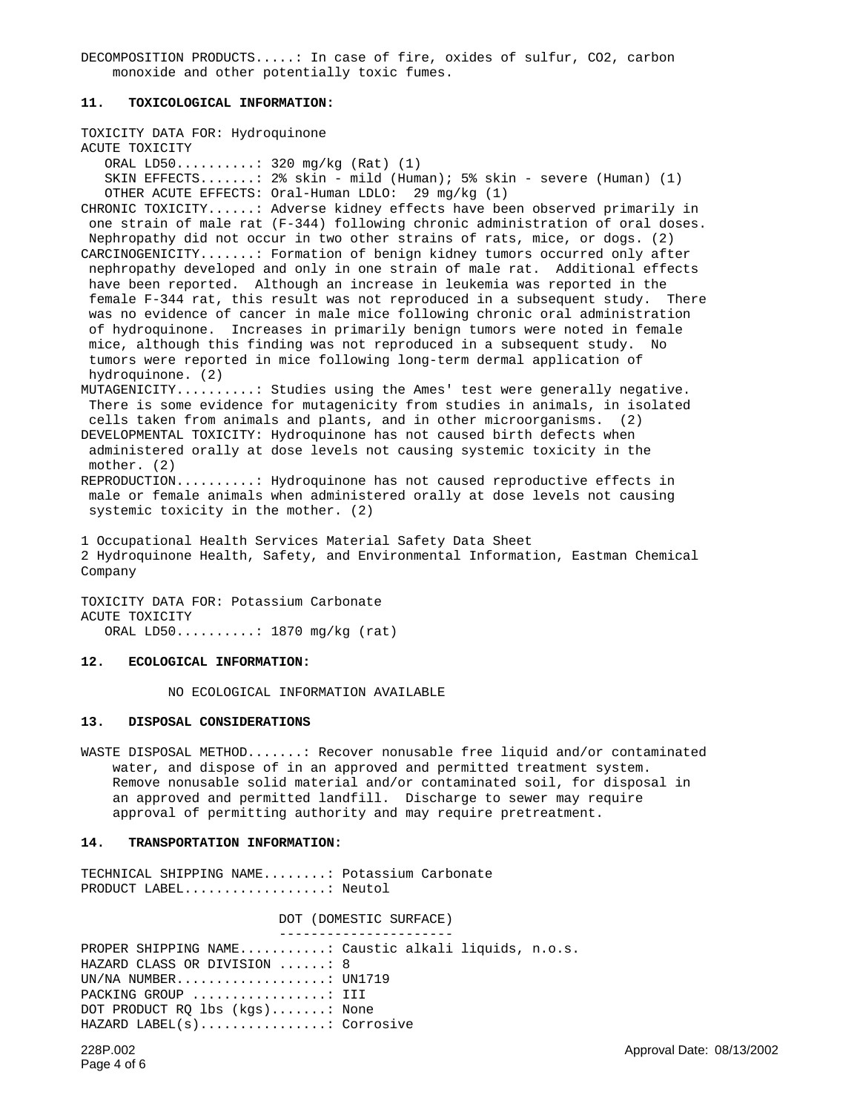DECOMPOSITION PRODUCTS.....: In case of fire, oxides of sulfur, CO2, carbon monoxide and other potentially toxic fumes.

## **11. TOXICOLOGICAL INFORMATION:**

TOXICITY DATA FOR: Hydroquinone ACUTE TOXICITY ORAL LD50..........: 320 mg/kg (Rat) (1) SKIN EFFECTS.......: 2% skin - mild (Human); 5% skin - severe (Human) (1) OTHER ACUTE EFFECTS: Oral-Human LDLO: 29 mg/kg (1) CHRONIC TOXICITY......: Adverse kidney effects have been observed primarily in one strain of male rat (F-344) following chronic administration of oral doses. Nephropathy did not occur in two other strains of rats, mice, or dogs. (2) CARCINOGENICITY.......: Formation of benign kidney tumors occurred only after nephropathy developed and only in one strain of male rat. Additional effects have been reported. Although an increase in leukemia was reported in the female F-344 rat, this result was not reproduced in a subsequent study. There was no evidence of cancer in male mice following chronic oral administration of hydroquinone. Increases in primarily benign tumors were noted in female mice, although this finding was not reproduced in a subsequent study. No tumors were reported in mice following long-term dermal application of hydroquinone. (2) MUTAGENICITY..........: Studies using the Ames' test were generally negative. There is some evidence for mutagenicity from studies in animals, in isolated cells taken from animals and plants, and in other microorganisms. (2) DEVELOPMENTAL TOXICITY: Hydroquinone has not caused birth defects when administered orally at dose levels not causing systemic toxicity in the mother. (2) REPRODUCTION..........: Hydroquinone has not caused reproductive effects in male or female animals when administered orally at dose levels not causing systemic toxicity in the mother. (2) 1 Occupational Health Services Material Safety Data Sheet

2 Hydroquinone Health, Safety, and Environmental Information, Eastman Chemical Company

TOXICITY DATA FOR: Potassium Carbonate ACUTE TOXICITY ORAL LD50..........: 1870 mg/kg (rat)

#### **12. ECOLOGICAL INFORMATION:**

NO ECOLOGICAL INFORMATION AVAILABLE

## **13. DISPOSAL CONSIDERATIONS**

WASTE DISPOSAL METHOD.......: Recover nonusable free liquid and/or contaminated water, and dispose of in an approved and permitted treatment system. Remove nonusable solid material and/or contaminated soil, for disposal in an approved and permitted landfill. Discharge to sewer may require approval of permitting authority and may require pretreatment.

# **14. TRANSPORTATION INFORMATION:**

TECHNICAL SHIPPING NAME........: Potassium Carbonate PRODUCT LABEL..................: Neutol

DOT (DOMESTIC SURFACE) ---------------------- PROPER SHIPPING NAME...........: Caustic alkali liquids, n.o.s. HAZARD CLASS OR DIVISION ......: 8 UN/NA NUMBER...................: UN1719 PACKING GROUP ...................: III DOT PRODUCT RQ lbs (kgs).......: None HAZARD LABEL(s)................: Corrosive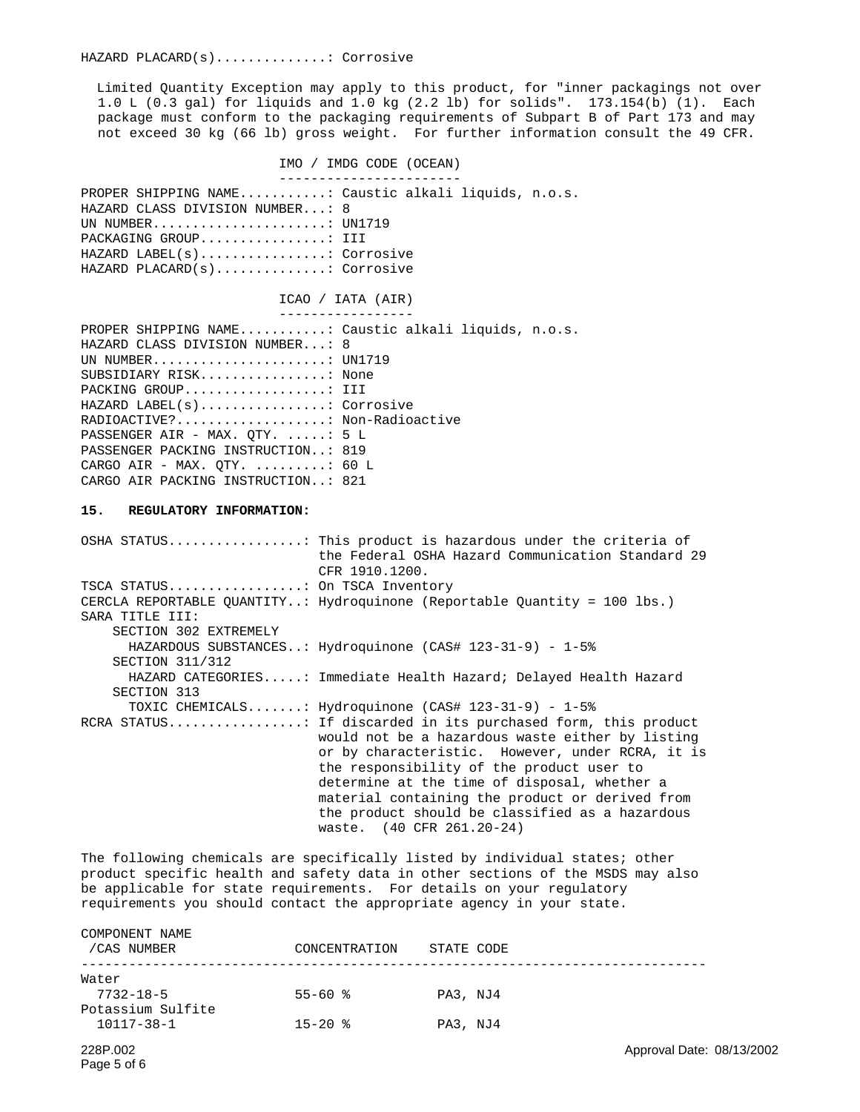Limited Quantity Exception may apply to this product, for "inner packagings not over 1.0 L (0.3 gal) for liquids and 1.0 kg (2.2 lb) for solids". 173.154(b) (1). Each package must conform to the packaging requirements of Subpart B of Part 173 and may not exceed 30 kg (66 lb) gross weight. For further information consult the 49 CFR.

IMO / IMDG CODE (OCEAN) ----------------------- PROPER SHIPPING NAME...........: Caustic alkali liquids, n.o.s. HAZARD CLASS DIVISION NUMBER...: 8 UN NUMBER........................: UN1719 PACKAGING GROUP................: III HAZARD LABEL(s)................: Corrosive HAZARD PLACARD(s)..............: Corrosive ICAO / IATA (AIR) ----------------- PROPER SHIPPING NAME...........: Caustic alkali liquids, n.o.s. HAZARD CLASS DIVISION NUMBER...: 8 UN NUMBER......................: UN1719 SUBSIDIARY RISK................: None PACKING GROUP..................: III HAZARD LABEL(s)................: Corrosive RADIOACTIVE?...................: Non-Radioactive PASSENGER AIR - MAX. OTY. .....: 5 L PASSENGER PACKING INSTRUCTION..: 819 CARGO AIR - MAX.  $QTY$ . ........: 60 L CARGO AIR PACKING INSTRUCTION..: 821 **15. REGULATORY INFORMATION:** OSHA STATUS.................: This product is hazardous under the criteria of the Federal OSHA Hazard Communication Standard 29 CFR 1910.1200. TSCA STATUS.................: On TSCA Inventory CERCLA REPORTABLE QUANTITY..: Hydroquinone (Reportable Quantity = 100 lbs.) SARA TITLE III: SECTION 302 EXTREMELY HAZARDOUS SUBSTANCES..: Hydroquinone (CAS# 123-31-9) - 1-5% SECTION 311/312 HAZARD CATEGORIES.....: Immediate Health Hazard; Delayed Health Hazard SECTION 313

TOXIC CHEMICALS.......: Hydroquinone (CAS# 123-31-9) - 1-5% RCRA STATUS.................: If discarded in its purchased form, this product would not be a hazardous waste either by listing or by characteristic. However, under RCRA, it is the responsibility of the product user to determine at the time of disposal, whether a material containing the product or derived from the product should be classified as a hazardous waste. (40 CFR 261.20-24)

The following chemicals are specifically listed by individual states; other product specific health and safety data in other sections of the MSDS may also be applicable for state requirements. For details on your regulatory requirements you should contact the appropriate agency in your state.

| COMPONENT NAME<br>/CAS NUMBER   | CONCENTRATION       | STATE CODE |
|---------------------------------|---------------------|------------|
| Water<br>$7732 - 18 - 5$        | $55 - 60$ $\approx$ | PA3, NJ4   |
| Potassium Sulfite<br>10117-38-1 | $15 - 20$ $\approx$ | PA3, NJ4   |